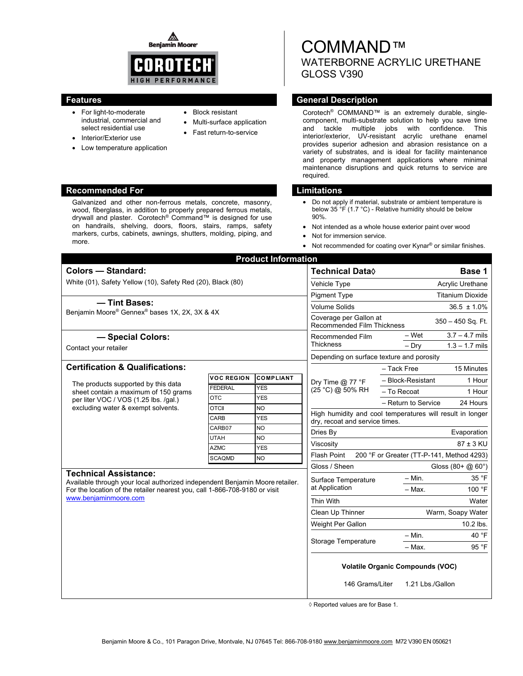◬ **Benjamin Moore** 



- For light-to-moderate industrial, commercial and select residential use
- Interior/Exterior use
- Low temperature application

#### **Recommended For Limitations Commended For Limitations Accounting Limitations Accounting Limitations**

Galvanized and other non-ferrous metals, concrete, masonry, wood, fiberglass, in addition to properly prepared ferrous metals, drywall and plaster. Corotech® Command™ is designed for use on handrails, shelving, doors, floors, stairs, ramps, safety markers, curbs, cabinets, awnings, shutters, molding, piping, and more.

### • Block resistant

- 
- Multi-surface application Fast return-to-service
- 

# COMMAND™ WATERBORNE ACRYLIC URETHANE GLOSS V390

# **Features General Description Contract Description Acts and Acts and Acts and Acts and Acts and Acts and Acts and Acts and Acts and Acts and Acts and Acts and Acts and Acts and Acts and Acts and Acts and Acts and Acts and**

Corotech® COMMAND™ is an extremely durable, singlecomponent, multi-substrate solution to help you save time and tackle multiple jobs with confidence. This interior/exterior, UV-resistant acrylic urethane enamel provides superior adhesion and abrasion resistance on a variety of substrates, and is ideal for facility maintenance and property management applications where minimal maintenance disruptions and quick returns to service are required.

- Do not apply if material, substrate or ambient temperature is below 35 °F (1.7 °C) - Relative humidity should be below 90%.
- Not intended as a whole house exterior paint over wood
- Not for immersion service.
- Not recommended for coating over Kynar<sup>®</sup> or similar finishes.

| <b>Product Information</b>                                                                                                                                                                                          |                   |                         |                                                                           |                                                                                             |  |
|---------------------------------------------------------------------------------------------------------------------------------------------------------------------------------------------------------------------|-------------------|-------------------------|---------------------------------------------------------------------------|---------------------------------------------------------------------------------------------|--|
| <b>Colors - Standard:</b>                                                                                                                                                                                           |                   |                         | <b>Technical Data</b> ♦                                                   | Base 1                                                                                      |  |
| White (01), Safety Yellow (10), Safety Red (20), Black (80)                                                                                                                                                         |                   |                         | Vehicle Type                                                              | Acrylic Urethane                                                                            |  |
|                                                                                                                                                                                                                     |                   |                         | <b>Pigment Type</b>                                                       | <b>Titanium Dioxide</b>                                                                     |  |
| - Tint Bases:<br>Benjamin Moore® Gennex® bases 1X, 2X, 3X & 4X                                                                                                                                                      |                   |                         | <b>Volume Solids</b>                                                      | $36.5 \pm 1.0\%$                                                                            |  |
|                                                                                                                                                                                                                     |                   |                         | Coverage per Gallon at<br>350 - 450 Sq. Ft.<br>Recommended Film Thickness |                                                                                             |  |
| - Special Colors:                                                                                                                                                                                                   |                   |                         | Recommended Film                                                          | – Wet<br>$3.7 - 4.7$ mils                                                                   |  |
| Contact your retailer                                                                                                                                                                                               |                   |                         | <b>Thickness</b>                                                          | $1.3 - 1.7$ mils<br>$-$ Dry                                                                 |  |
|                                                                                                                                                                                                                     |                   |                         | Depending on surface texture and porosity                                 |                                                                                             |  |
| <b>Certification &amp; Qualifications:</b>                                                                                                                                                                          |                   |                         |                                                                           | - Tack Free<br>15 Minutes                                                                   |  |
| The products supported by this data<br>sheet contain a maximum of 150 grams<br>per liter VOC / VOS (1.25 lbs. /qal.)<br>excluding water & exempt solvents.                                                          | <b>VOC REGION</b> | <b>COMPLIANT</b>        | Dry Time $@$ 77 °F<br>(25 °C) @ 50% RH                                    | - Block-Resistant<br>1 Hour                                                                 |  |
|                                                                                                                                                                                                                     | <b>FEDERAL</b>    | <b>YES</b>              |                                                                           | 1 Hour<br>- To Recoat                                                                       |  |
|                                                                                                                                                                                                                     | <b>OTC</b>        | <b>YES</b>              |                                                                           | - Return to Service<br>24 Hours                                                             |  |
|                                                                                                                                                                                                                     | <b>OTCII</b>      | <b>NO</b>               |                                                                           | High humidity and cool temperatures will result in longer<br>dry, recoat and service times. |  |
|                                                                                                                                                                                                                     | CARB<br>CARB07    | <b>YES</b><br><b>NO</b> |                                                                           |                                                                                             |  |
|                                                                                                                                                                                                                     | <b>UTAH</b>       | <b>NO</b>               | Dries By                                                                  | Evaporation                                                                                 |  |
|                                                                                                                                                                                                                     | <b>AZMC</b>       | <b>YES</b>              | Viscosity                                                                 | 87 ± 3 KU                                                                                   |  |
|                                                                                                                                                                                                                     | <b>SCAQMD</b>     | <b>NO</b>               | <b>Flash Point</b>                                                        | 200 °F or Greater (TT-P-141, Method 4293)                                                   |  |
|                                                                                                                                                                                                                     |                   |                         | Gloss / Sheen                                                             | Gloss $(80 + @.60^{\circ})$                                                                 |  |
| <b>Technical Assistance:</b><br>Available through your local authorized independent Benjamin Moore retailer.<br>For the location of the retailer nearest you, call 1-866-708-9180 or visit<br>www.benjaminmoore.com |                   |                         | Surface Temperature<br>at Application                                     | 35 °F<br>$-$ Min.                                                                           |  |
|                                                                                                                                                                                                                     |                   |                         |                                                                           | 100 °F<br>- Max.                                                                            |  |
|                                                                                                                                                                                                                     |                   |                         | Thin With                                                                 | Water                                                                                       |  |
|                                                                                                                                                                                                                     |                   |                         | Clean Up Thinner                                                          | Warm, Soapy Water                                                                           |  |
|                                                                                                                                                                                                                     |                   |                         | Weight Per Gallon                                                         | 10.2 lbs.                                                                                   |  |
|                                                                                                                                                                                                                     |                   |                         | <b>Storage Temperature</b>                                                | $-$ Min.<br>40 °F                                                                           |  |
|                                                                                                                                                                                                                     |                   |                         |                                                                           | 95 °F<br>- Max.                                                                             |  |
|                                                                                                                                                                                                                     |                   |                         | <b>Volatile Organic Compounds (VOC)</b>                                   |                                                                                             |  |
|                                                                                                                                                                                                                     |                   |                         | 146 Grams/Liter                                                           | 1.21 Lbs./Gallon                                                                            |  |

◊ Reported values are for Base 1.